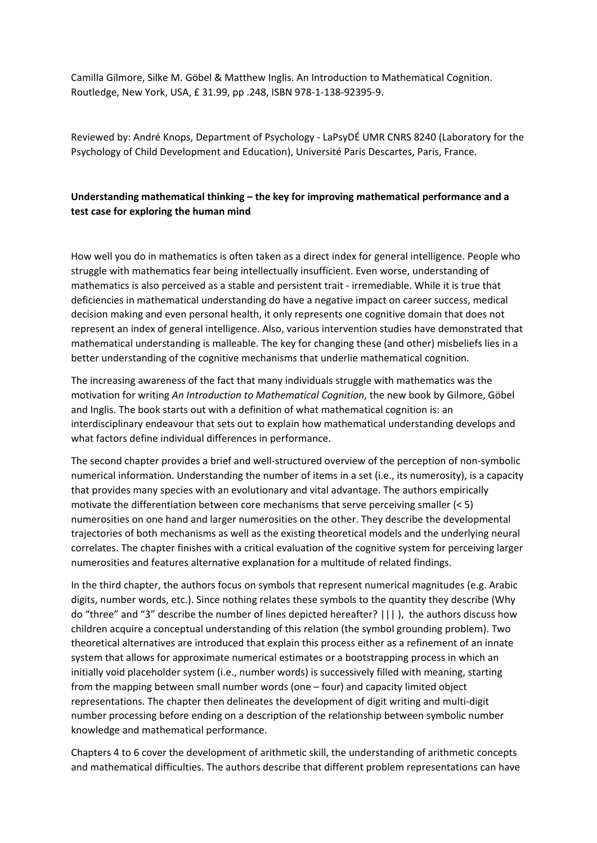Camilla Gilmore, Silke M. Göbel & Matthew Inglis. An Introduction to Mathematical Cognition. Routledge, New York, USA, £ 31.99, pp .248, ISBN 978-1-138-92395-9.

Reviewed by: André Knops, Department of Psychology - LaPsyDÉ UMR CNRS 8240 (Laboratory for the Psychology of Child Development and Education), Université Paris Descartes, Paris, France.

## **Understanding mathematical thinking – the key for improving mathematical performance and a test case for exploring the human mind**

How well you do in mathematics is often taken as a direct index for general intelligence. People who struggle with mathematics fear being intellectually insufficient. Even worse, understanding of mathematics is also perceived as a stable and persistent trait - irremediable. While it is true that deficiencies in mathematical understanding do have a negative impact on career success, medical decision making and even personal health, it only represents one cognitive domain that does not represent an index of general intelligence. Also, various intervention studies have demonstrated that mathematical understanding is malleable. The key for changing these (and other) misbeliefs lies in a better understanding of the cognitive mechanisms that underlie mathematical cognition.

The increasing awareness of the fact that many individuals struggle with mathematics was the motivation for writing *An Introduction to Mathematical Cognition*, the new book by Gilmore, Göbel and Inglis. The book starts out with a definition of what mathematical cognition is: an interdisciplinary endeavour that sets out to explain how mathematical understanding develops and what factors define individual differences in performance.

The second chapter provides a brief and well-structured overview of the perception of non-symbolic numerical information. Understanding the number of items in a set (i.e., its numerosity), is a capacity that provides many species with an evolutionary and vital advantage. The authors empirically motivate the differentiation between core mechanisms that serve perceiving smaller (< 5) numerosities on one hand and larger numerosities on the other. They describe the developmental trajectories of both mechanisms as well as the existing theoretical models and the underlying neural correlates. The chapter finishes with a critical evaluation of the cognitive system for perceiving larger numerosities and features alternative explanation for a multitude of related findings.

In the third chapter, the authors focus on symbols that represent numerical magnitudes (e.g. Arabic digits, number words, etc.). Since nothing relates these symbols to the quantity they describe (Why do "three" and "3" describe the number of lines depicted hereafter? ||| ), the authors discuss how children acquire a conceptual understanding of this relation (the symbol grounding problem). Two theoretical alternatives are introduced that explain this process either as a refinement of an innate system that allows for approximate numerical estimates or a bootstrapping process in which an initially void placeholder system (i.e., number words) is successively filled with meaning, starting from the mapping between small number words (one – four) and capacity limited object representations. The chapter then delineates the development of digit writing and multi-digit number processing before ending on a description of the relationship between symbolic number knowledge and mathematical performance.

Chapters 4 to 6 cover the development of arithmetic skill, the understanding of arithmetic concepts and mathematical difficulties. The authors describe that different problem representations can have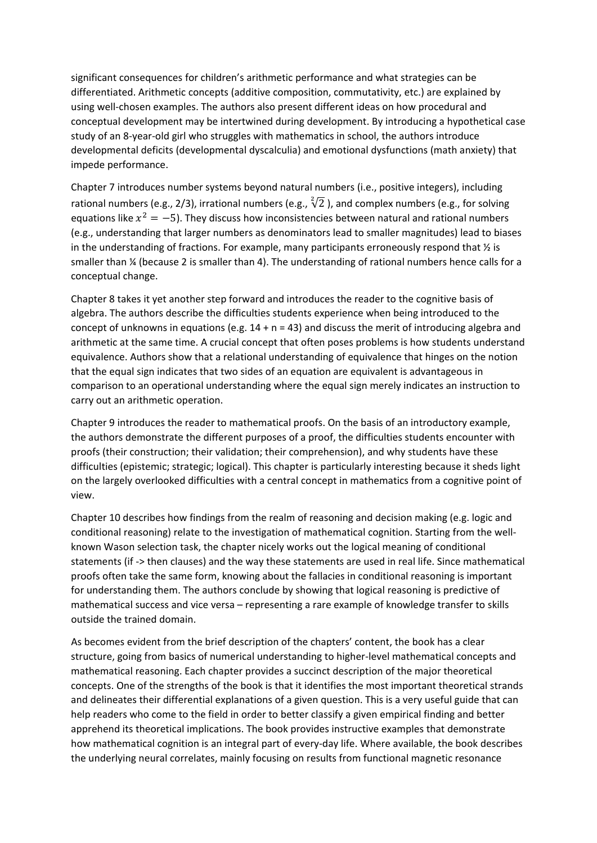significant consequences for children's arithmetic performance and what strategies can be differentiated. Arithmetic concepts (additive composition, commutativity, etc.) are explained by using well-chosen examples. The authors also present different ideas on how procedural and conceptual development may be intertwined during development. By introducing a hypothetical case study of an 8-year-old girl who struggles with mathematics in school, the authors introduce developmental deficits (developmental dyscalculia) and emotional dysfunctions (math anxiety) that impede performance.

Chapter 7 introduces number systems beyond natural numbers (i.e., positive integers), including rational numbers (e.g., 2/3), irrational numbers (e.g.,  $\sqrt[2]{2}$ ), and complex numbers (e.g., for solving equations like  $x^2 = -5$ ). They discuss how inconsistencies between natural and rational numbers (e.g., understanding that larger numbers as denominators lead to smaller magnitudes) lead to biases in the understanding of fractions. For example, many participants erroneously respond that ½ is smaller than ¼ (because 2 is smaller than 4). The understanding of rational numbers hence calls for a conceptual change.

Chapter 8 takes it yet another step forward and introduces the reader to the cognitive basis of algebra. The authors describe the difficulties students experience when being introduced to the concept of unknowns in equations (e.g.  $14 + n = 43$ ) and discuss the merit of introducing algebra and arithmetic at the same time. A crucial concept that often poses problems is how students understand equivalence. Authors show that a relational understanding of equivalence that hinges on the notion that the equal sign indicates that two sides of an equation are equivalent is advantageous in comparison to an operational understanding where the equal sign merely indicates an instruction to carry out an arithmetic operation.

Chapter 9 introduces the reader to mathematical proofs. On the basis of an introductory example, the authors demonstrate the different purposes of a proof, the difficulties students encounter with proofs (their construction; their validation; their comprehension), and why students have these difficulties (epistemic; strategic; logical). This chapter is particularly interesting because it sheds light on the largely overlooked difficulties with a central concept in mathematics from a cognitive point of view.

Chapter 10 describes how findings from the realm of reasoning and decision making (e.g. logic and conditional reasoning) relate to the investigation of mathematical cognition. Starting from the wellknown Wason selection task, the chapter nicely works out the logical meaning of conditional statements (if -> then clauses) and the way these statements are used in real life. Since mathematical proofs often take the same form, knowing about the fallacies in conditional reasoning is important for understanding them. The authors conclude by showing that logical reasoning is predictive of mathematical success and vice versa – representing a rare example of knowledge transfer to skills outside the trained domain.

As becomes evident from the brief description of the chapters' content, the book has a clear structure, going from basics of numerical understanding to higher-level mathematical concepts and mathematical reasoning. Each chapter provides a succinct description of the major theoretical concepts. One of the strengths of the book is that it identifies the most important theoretical strands and delineates their differential explanations of a given question. This is a very useful guide that can help readers who come to the field in order to better classify a given empirical finding and better apprehend its theoretical implications. The book provides instructive examples that demonstrate how mathematical cognition is an integral part of every-day life. Where available, the book describes the underlying neural correlates, mainly focusing on results from functional magnetic resonance